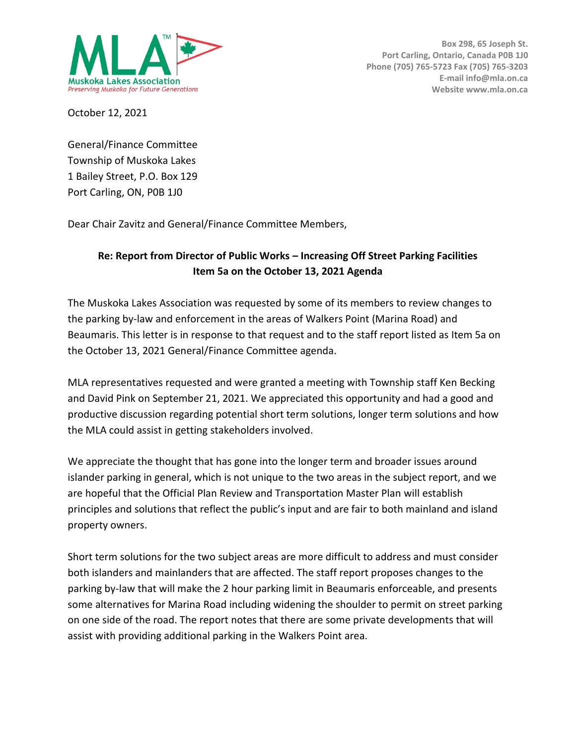

October 12, 2021

General/Finance Committee Township of Muskoka Lakes 1 Bailey Street, P.O. Box 129 Port Carling, ON, P0B 1J0

Dear Chair Zavitz and General/Finance Committee Members,

## **Re: Report from Director of Public Works – Increasing Off Street Parking Facilities Item 5a on the October 13, 2021 Agenda**

The Muskoka Lakes Association was requested by some of its members to review changes to the parking by-law and enforcement in the areas of Walkers Point (Marina Road) and Beaumaris. This letter is in response to that request and to the staff report listed as Item 5a on the October 13, 2021 General/Finance Committee agenda.

MLA representatives requested and were granted a meeting with Township staff Ken Becking and David Pink on September 21, 2021. We appreciated this opportunity and had a good and productive discussion regarding potential short term solutions, longer term solutions and how the MLA could assist in getting stakeholders involved.

We appreciate the thought that has gone into the longer term and broader issues around islander parking in general, which is not unique to the two areas in the subject report, and we are hopeful that the Official Plan Review and Transportation Master Plan will establish principles and solutions that reflect the public's input and are fair to both mainland and island property owners.

Short term solutions for the two subject areas are more difficult to address and must consider both islanders and mainlanders that are affected. The staff report proposes changes to the parking by-law that will make the 2 hour parking limit in Beaumaris enforceable, and presents some alternatives for Marina Road including widening the shoulder to permit on street parking on one side of the road. The report notes that there are some private developments that will assist with providing additional parking in the Walkers Point area.